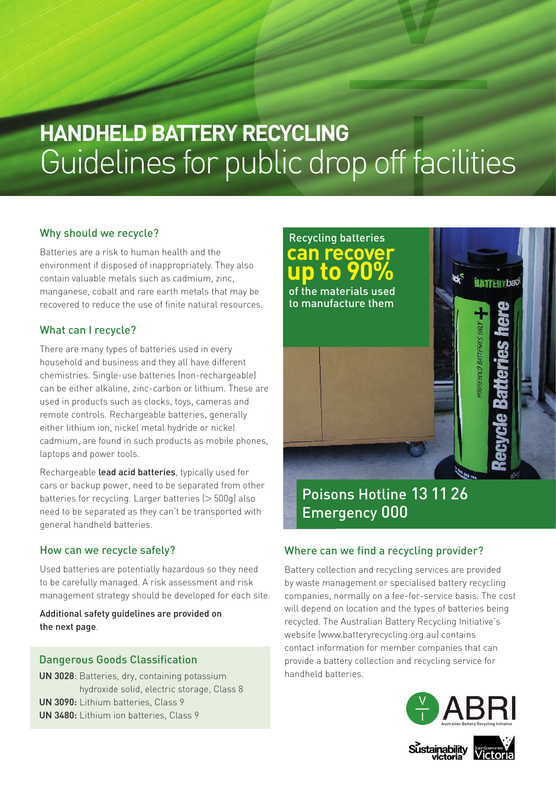# **HANDHELD BATTERY RECYCLING**  Guidelines for public drop off facilities

#### Why should we recycle?

Batteries are a risk to human health and the environment if disposed of inappropriately. They also contain valuable metals such as cadmium, zinc, manganese, cobalt and rare earth metals that may be recovered to reduce the use of finite natural resources.

#### What can I recycle?

There are many types of batteries used in every household and business and they all have different chemistries. Single-use batteries (non-rechargeable) can be either alkaline, zinc-carbon or lithium. These are used in products such as clocks, toys, cameras and remote controls. Rechargeable batteries, generally either lithium ion, nickel metal hydride or nickel cadmium, are found in such products as mobile phones, laptops and power tools.

Rechargeable lead acid batteries, typically used for cars or backup power, need to be separated from other batteries for recycling. Larger batteries (> 500g) also need to be separated as they can't be transported with general handheld batteries.

#### How can we recycle safely?

Used batteries are potentially hazardous so they need to be carefully managed. A risk assessment and risk management strategy should be developed for each site.

Additional safety guidelines are provided on the next page.

#### Dangerous Goods Classification

UN 3028: Batteries, dry, containing potassium hydroxide solid, electric storage, Class 8 UN 3090: Lithium batteries, Class 9 UN 3480: Lithium ion batteries, Class 9



### Poisons Hotline 13 11 26 Emergency 000

#### Where can we find a recycling provider?

Battery collection and recycling services are provided by waste management or specialised battery recycling companies, normally on a fee-for-service basis. The cost will depend on location and the types of batteries being recycled. The Australian Battery Recycling Initiative's website (www.batteryrecycling.org.au) contains contact information for member companies that can provide a battery collection and recycling service for handheld batteries.